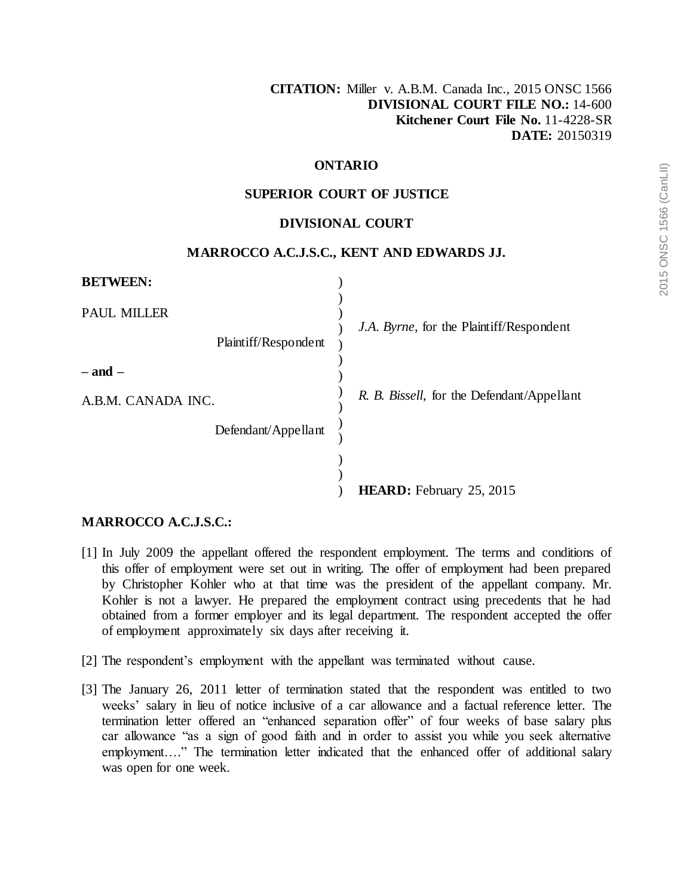## **ONTARIO**

## **SUPERIOR COURT OF JUSTICE**

#### **DIVISIONAL COURT**

## **MARROCCO A.C.J.S.C., KENT AND EDWARDS JJ.**

| <b>BETWEEN:</b>                            |                                            |
|--------------------------------------------|--------------------------------------------|
| <b>PAUL MILLER</b><br>Plaintiff/Respondent | J.A. Byrne, for the Plaintiff/Respondent   |
| $-$ and $-$<br>A.B.M. CANADA INC.          | R. B. Bissell, for the Defendant/Appellant |
| Defendant/Appellant                        |                                            |
|                                            | <b>HEARD:</b> February 25, 2015            |

#### **MARROCCO A.C.J.S.C.:**

- [1] In July 2009 the appellant offered the respondent employment. The terms and conditions of this offer of employment were set out in writing. The offer of employment had been prepared by Christopher Kohler who at that time was the president of the appellant company. Mr. Kohler is not a lawyer. He prepared the employment contract using precedents that he had obtained from a former employer and its legal department. The respondent accepted the offer of employment approximately six days after receiving it.
- [2] The respondent's employment with the appellant was terminated without cause.
- [3] The January 26, 2011 letter of termination stated that the respondent was entitled to two weeks' salary in lieu of notice inclusive of a car allowance and a factual reference letter. The termination letter offered an "enhanced separation offer" of four weeks of base salary plus car allowance "as a sign of good faith and in order to assist you while you seek alternative employment…." The termination letter indicated that the enhanced offer of additional salary was open for one week.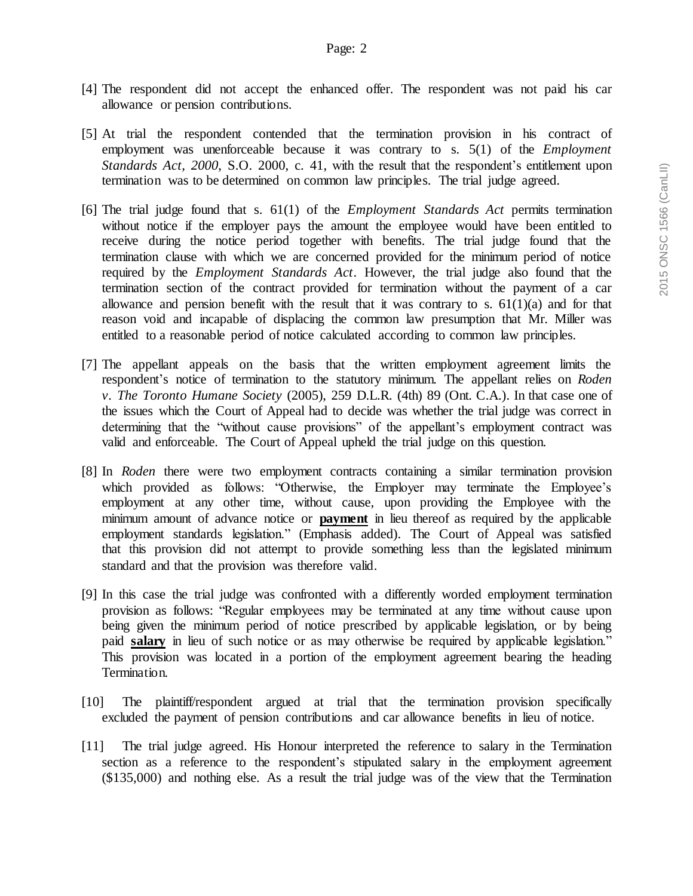- [4] The respondent did not accept the enhanced offer. The respondent was not paid his car allowance or pension contributions.
- [5] At trial the respondent contended that the termination provision in his contract of employment was unenforceable because it was contrary to s. 5(1) of the *Employment Standards Act, 2000*, S.O. 2000, c. 41, with the result that the respondent's entitlement upon termination was to be determined on common law principles. The trial judge agreed.
- [6] The trial judge found that s. 61(1) of the *Employment Standards Act* permits termination without notice if the employer pays the amount the employee would have been entitled to receive during the notice period together with benefits. The trial judge found that the termination clause with which we are concerned provided for the minimum period of notice required by the *Employment Standards Act*. However, the trial judge also found that the termination section of the contract provided for termination without the payment of a car allowance and pension benefit with the result that it was contrary to s.  $61(1)(a)$  and for that reason void and incapable of displacing the common law presumption that Mr. Miller was entitled to a reasonable period of notice calculated according to common law principles.
- [7] The appellant appeals on the basis that the written employment agreement limits the respondent's notice of termination to the statutory minimum. The appellant relies on *Roden v. The Toronto Humane Society* (2005), 259 D.L.R. (4th) 89 (Ont. C.A.). In that case one of the issues which the Court of Appeal had to decide was whether the trial judge was correct in determining that the "without cause provisions" of the appellant's employment contract was valid and enforceable. The Court of Appeal upheld the trial judge on this question.
- [8] In *Roden* there were two employment contracts containing a similar termination provision which provided as follows: "Otherwise, the Employer may terminate the Employee's employment at any other time, without cause, upon providing the Employee with the minimum amount of advance notice or **payment** in lieu thereof as required by the applicable employment standards legislation." (Emphasis added). The Court of Appeal was satisfied that this provision did not attempt to provide something less than the legislated minimum standard and that the provision was therefore valid.
- [9] In this case the trial judge was confronted with a differently worded employment termination provision as follows: "Regular employees may be terminated at any time without cause upon being given the minimum period of notice prescribed by applicable legislation, or by being paid **salary** in lieu of such notice or as may otherwise be required by applicable legislation." This provision was located in a portion of the employment agreement bearing the heading Termination.
- [10] The plaintiff/respondent argued at trial that the termination provision specifically excluded the payment of pension contributions and car allowance benefits in lieu of notice.
- [11] The trial judge agreed. His Honour interpreted the reference to salary in the Termination section as a reference to the respondent's stipulated salary in the employment agreement (\$135,000) and nothing else. As a result the trial judge was of the view that the Termination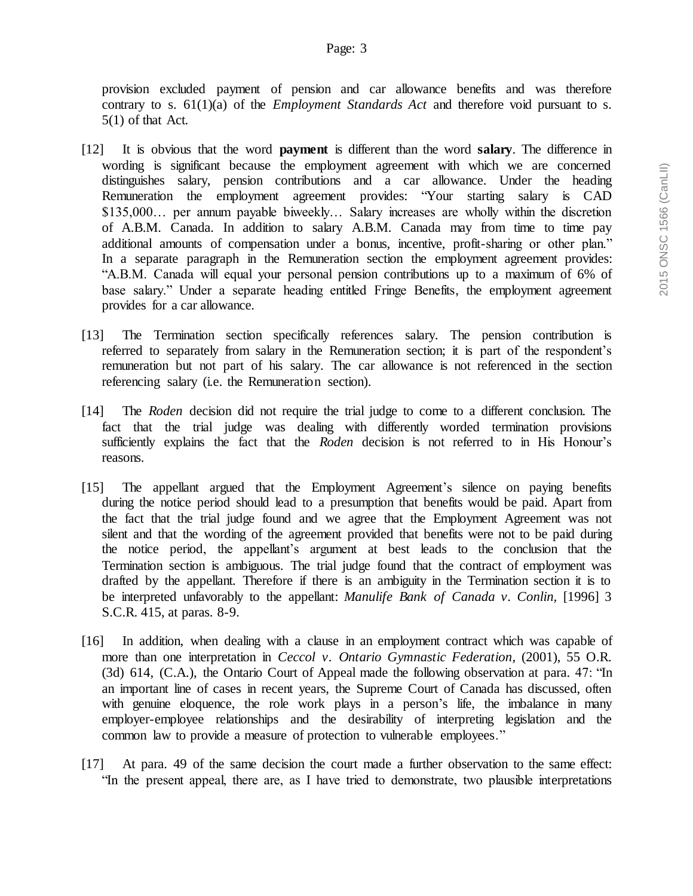provision excluded payment of pension and car allowance benefits and was therefore contrary to s. 61(1)(a) of the *Employment Standards Act* and therefore void pursuant to s. 5(1) of that Act.

- [12] It is obvious that the word **payment** is different than the word **salary**. The difference in wording is significant because the employment agreement with which we are concerned distinguishes salary, pension contributions and a car allowance. Under the heading Remuneration the employment agreement provides: "Your starting salary is CAD \$135,000… per annum payable biweekly… Salary increases are wholly within the discretion of A.B.M. Canada. In addition to salary A.B.M. Canada may from time to time pay additional amounts of compensation under a bonus, incentive, profit-sharing or other plan." In a separate paragraph in the Remuneration section the employment agreement provides: "A.B.M. Canada will equal your personal pension contributions up to a maximum of 6% of base salary." Under a separate heading entitled Fringe Benefits, the employment agreement provides for a car allowance.
- [13] The Termination section specifically references salary. The pension contribution is referred to separately from salary in the Remuneration section; it is part of the respondent's remuneration but not part of his salary. The car allowance is not referenced in the section referencing salary (i.e. the Remuneration section).
- [14] The *Roden* decision did not require the trial judge to come to a different conclusion. The fact that the trial judge was dealing with differently worded termination provisions sufficiently explains the fact that the *Roden* decision is not referred to in His Honour's reasons.
- [15] The appellant argued that the Employment Agreement's silence on paying benefits during the notice period should lead to a presumption that benefits would be paid. Apart from the fact that the trial judge found and we agree that the Employment Agreement was not silent and that the wording of the agreement provided that benefits were not to be paid during the notice period, the appellant's argument at best leads to the conclusion that the Termination section is ambiguous. The trial judge found that the contract of employment was drafted by the appellant. Therefore if there is an ambiguity in the Termination section it is to be interpreted unfavorably to the appellant: *Manulife Bank of Canada v. Conlin,* [1996] 3 S.C.R. 415, at paras. 8-9.
- [16] In addition, when dealing with a clause in an employment contract which was capable of more than one interpretation in *Ceccol v. Ontario Gymnastic Federation*, (2001), 55 O.R. (3d) 614, (C.A.), the Ontario Court of Appeal made the following observation at para. 47: "In an important line of cases in recent years, the Supreme Court of Canada has discussed, often with genuine eloquence, the role work plays in a person's life, the imbalance in many employer-employee relationships and the desirability of interpreting legislation and the common law to provide a measure of protection to vulnerable employees."
- [17] At para. 49 of the same decision the court made a further observation to the same effect: "In the present appeal, there are, as I have tried to demonstrate, two plausible interpretations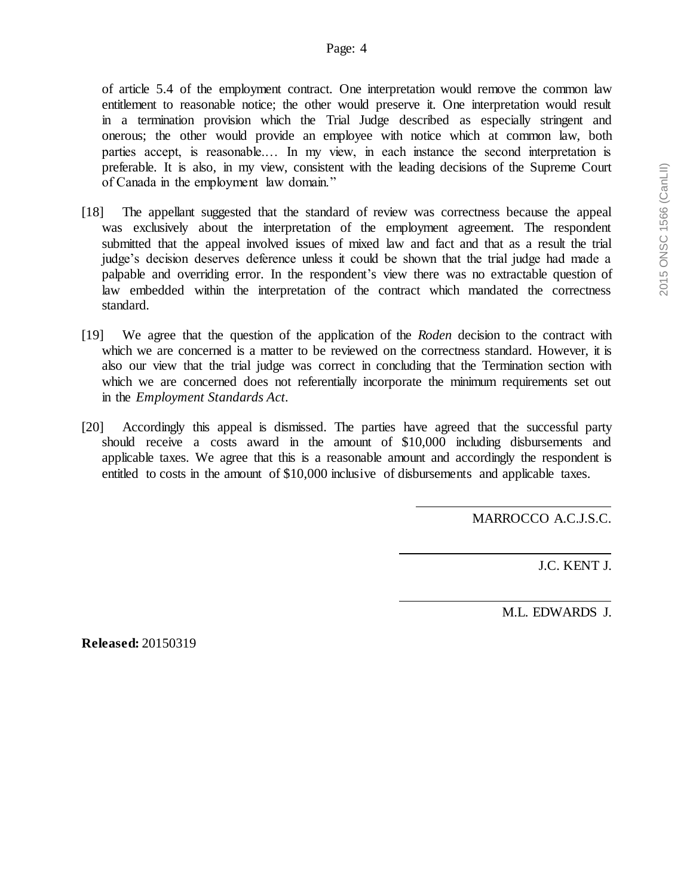of article 5.4 of the employment contract. One interpretation would remove the common law entitlement to reasonable notice; the other would preserve it. One interpretation would result in a termination provision which the Trial Judge described as especially stringent and onerous; the other would provide an employee with notice which at common law, both parties accept, is reasonable.… In my view, in each instance the second interpretation is preferable. It is also, in my view, consistent with the leading decisions of the Supreme Court of Canada in the employment law domain."

- [18] The appellant suggested that the standard of review was correctness because the appeal was exclusively about the interpretation of the employment agreement. The respondent submitted that the appeal involved issues of mixed law and fact and that as a result the trial judge's decision deserves deference unless it could be shown that the trial judge had made a palpable and overriding error. In the respondent's view there was no extractable question of law embedded within the interpretation of the contract which mandated the correctness standard.
- [19] We agree that the question of the application of the *Roden* decision to the contract with which we are concerned is a matter to be reviewed on the correctness standard. However, it is also our view that the trial judge was correct in concluding that the Termination section with which we are concerned does not referentially incorporate the minimum requirements set out in the *Employment Standards Act.*
- [20] Accordingly this appeal is dismissed. The parties have agreed that the successful party should receive a costs award in the amount of \$10,000 including disbursements and applicable taxes. We agree that this is a reasonable amount and accordingly the respondent is entitled to costs in the amount of \$10,000 inclusive of disbursements and applicable taxes.

MARROCCO A.C.J.S.C.

J.C. KENT J.

M.L. EDWARDS J.

**Released:** 20150319